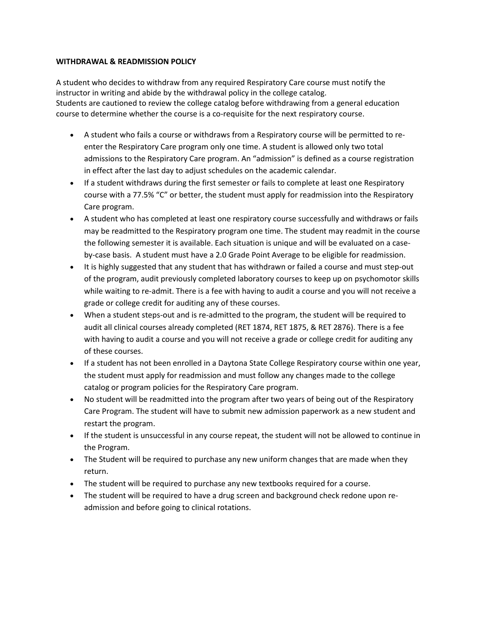## **WITHDRAWAL & READMISSION POLICY**

A student who decides to withdraw from any required Respiratory Care course must notify the instructor in writing and abide by the withdrawal policy in the college catalog. Students are cautioned to review the college catalog before withdrawing from a general education course to determine whether the course is a co-requisite for the next respiratory course.

- A student who fails a course or withdraws from a Respiratory course will be permitted to reenter the Respiratory Care program only one time. A student is allowed only two total admissions to the Respiratory Care program. An "admission" is defined as a course registration in effect after the last day to adjust schedules on the academic calendar.
- If a student withdraws during the first semester or fails to complete at least one Respiratory course with a 77.5% "C" or better, the student must apply for readmission into the Respiratory Care program.
- A student who has completed at least one respiratory course successfully and withdraws or fails may be readmitted to the Respiratory program one time. The student may readmit in the course the following semester it is available. Each situation is unique and will be evaluated on a caseby-case basis. A student must have a 2.0 Grade Point Average to be eligible for readmission.
- It is highly suggested that any student that has withdrawn or failed a course and must step-out of the program, audit previously completed laboratory courses to keep up on psychomotor skills while waiting to re-admit. There is a fee with having to audit a course and you will not receive a grade or college credit for auditing any of these courses.
- When a student steps-out and is re-admitted to the program, the student will be required to audit all clinical courses already completed (RET 1874, RET 1875, & RET 2876). There is a fee with having to audit a course and you will not receive a grade or college credit for auditing any of these courses.
- If a student has not been enrolled in a Daytona State College Respiratory course within one year, the student must apply for readmission and must follow any changes made to the college catalog or program policies for the Respiratory Care program.
- No student will be readmitted into the program after two years of being out of the Respiratory Care Program. The student will have to submit new admission paperwork as a new student and restart the program.
- If the student is unsuccessful in any course repeat, the student will not be allowed to continue in the Program.
- The Student will be required to purchase any new uniform changes that are made when they return.
- The student will be required to purchase any new textbooks required for a course.
- The student will be required to have a drug screen and background check redone upon readmission and before going to clinical rotations.